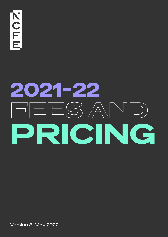**THOZ** 

# **2021-22 FEES AND PRICING**

Version 8: May 2022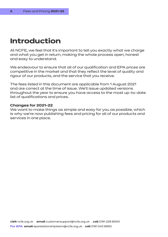# **Introduction**

At NCFE, we feel that it's important to tell you exactly what we charge and what you get in return, making the whole process open, honest and easy to understand.

We endeavour to ensure that all of our qualification and EPA prices are competitive in the market and that they reflect the level of quality and rigour of our products, and the service that you receive.

The fees listed in this document are applicable from 1 August 2021 and are correct at the time of issue. We'll issue updated versions throughout the year to ensure you have access to the most up-to-date list of qualifications and prices.

#### **Changes for 2021-22**

We want to make things as simple and easy for you as possible, which is why we're now publishing fees and pricing for all of our products and services in one place.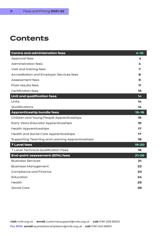# **Contents**

| <b>Centre and administration fees</b>            | 4-10      |
|--------------------------------------------------|-----------|
| Approval fees                                    | 4         |
| <b>Administration fees</b>                       | 4         |
| Visit and training fees                          | 7         |
| <b>Accreditation and Employer Services fees</b>  | 8         |
| Assessment fees                                  | 9         |
| Post-results fees                                | 11        |
| <b>Certification fees</b>                        | 13        |
| Unit and qualification fees                      | 14        |
| Units                                            | 14        |
| Qualifications                                   | 14        |
| Apprenticeship bundle fees                       | $15 - 18$ |
| Children and Young People Apprenticeships        | 15        |
| <b>Early Years Educator Apprenticeships</b>      | 16        |
| <b>Health Apprenticeships</b>                    | 17        |
| <b>Health and Social Care Apprenticeships</b>    | 17        |
| Supporting Teaching and Learning Apprenticeships | 18        |
| <b>TLevel fees</b>                               | $19 - 20$ |
| <b>T Level Technical Qualification Fees</b>      | 19        |
| <b>End-point assessment (EPA) fees</b>           | $21 - 26$ |
| <b>Business Services</b>                         | 21        |
| <b>Business Management</b>                       | 22        |
| <b>Compliance and Finance</b>                    | 23        |
| <b>Education</b>                                 | 24        |
| Health                                           | 25        |
| <b>Social Care</b>                               | 26        |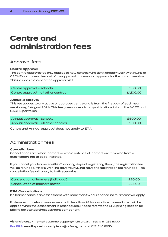# **Centre and administration fees**

# Approval fees

#### **Centre approval**

The centre approval fee only applies to new centres who don't already work with NCFE or CACHE and covers the cost of the approval process and approval for the current session. This includes the cost of the approval visit.

| Centre approval - schools           | £500.00   |
|-------------------------------------|-----------|
| Centre approval - all other centres | £1,100.00 |

#### **Annual approval**

This fee applies to any active or approved centre and is from the first day of each new session (eg 1 August 2021). This fee gives access to all qualifications in both the NCFE and CACHE portfolios.

| Annual approval - schools           | £500.00 |
|-------------------------------------|---------|
| Annual approval - all other centres | £900.00 |

Centre and Annual approval does not apply to EPA.

# Administration fees

#### **Cancellations**

Cancellations are when learners or whole batches of learners are removed from a qualification, not to be re-instated.

If you cancel your learners within 5 working days of registering them, the registration fee will be refunded. After 5 working days you will not have the registration fee refunded. The cancellation fee will apply to both scenarios.

| Cancellation of learners (individual) | £20.00 |
|---------------------------------------|--------|
| Cancellation of learners (batch)      | £25.00 |

#### **EPA Cancellations.**

If a learner cancels an assessment with more than 24 hours notice, no re-sit cost will apply.

If a learner cancels an assessment with less than 24 hours notice the re-sit cost will be applied when the assessment is rescheduled. Please refer to the EPA pricing section for pricing per standard/assessment component.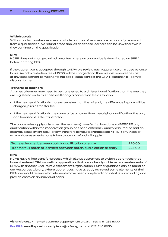#### **Withdrawals**

Withdrawals are when learners or whole batches of learners are temporarily removed from a qualification. No refund or fee applies and these learners can be unwithdrawn if they continue on the qualification.

#### **EPA**

NCFE does not charge a withdrawal fee where an apprentice is deactivated on SEPA before entering EPA.

If the apprentice is accepted through to EPA we review each apprentice on a case by case basis. An administration fee of £200 will be charged and then we will remove the cost of any assessment components not sat. Please contact the EPA Relationship Team to discuss further.

#### **Transfer of learners**

At times a learner may need to be transferred to a different qualification than the one they are registered on. In this case we'll apply a conversion fee as follows:

- If the new qualification is more expensive than the original, the difference in price will be charged, plus a transfer fee.
- If the new qualification is the same price or lower than the original qualification, the only additional cost is the transfer fee.

The above rules apply only when the learner(s) transferring has done so BEFORE any qualification within the moderation group has been externally quality assured, or, had an external assessment sat. For any transfers completed/processed AFTER any visits or external assessments have taken place, no refund will apply.

| Transfer learner between batch, qualification or entry                | £20.00 |
|-----------------------------------------------------------------------|--------|
| Transfer full batch of learners between batch, qualification or entry | £25.00 |

#### **EPA**

NCFE have a free transfer process which allows customers to switch apprentices that haven't entered EPA as well as apprentices that have already achieved some elements of EPA with another End Point Assessment Organisation. Further guidance can be found on our Resources Library. Where apprentices have already achieved some elements of their EPA, we would review what elements have been completed and what is outstanding and provide costs on an individual basis.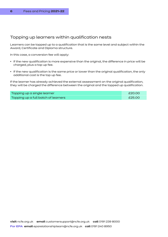### Topping up learners within qualification nests

Learners can be topped up to a qualification that is the same level and subject within the Award, Certificate and Diploma structure.

In this case, a conversion fee will apply:

- If the new qualification is more expensive than the original, the difference in price will be charged, plus a top up fee.
- If the new qualification is the same price or lower than the original qualification, the only additional cost is the top up fee.

If the learner has already achieved the external assessment on the original qualification, they will be charged the difference between the original and the topped up qualification.

| Topping up a single learner         | £20.00 |
|-------------------------------------|--------|
| Topping up a full batch of learners | £25.00 |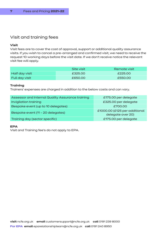# Visit and training fees

#### **Visit**

Visit fees are to cover the cost of approval, support or additional quality assurance visits. If you wish to cancel a pre-arranged and confirmed visit, we need to receive the request 10 working days before the visit date. If we don't receive notice the relevant visit fee will apply.

|                       | Site visit | Remote visit |
|-----------------------|------------|--------------|
| Half day visit        | £325.00    | £225.00      |
| <b>Full day visit</b> | £650.00    | £550.00      |

#### **Training**

Trainers' expenses are charged in addition to the below costs and can vary.

| Assessor and Internal Quality Assurance training | £175.00 per delegate                               |
|--------------------------------------------------|----------------------------------------------------|
| Invigilation training                            | £325.00 per delegate                               |
| Bespoke event (up to 10 delegates)               | £700.00                                            |
| Bespoke event (11 - 20 delegates)                | £1000.00 (£125 per additional<br>delegate over 20) |
| Training day (sector specific)                   | £175.00 per delegate                               |

#### **EPA**

Visit and Training fee's do not apply to EPA.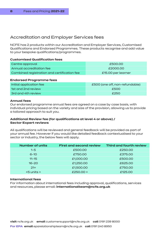# Accreditation and Employer Services fees

NCFE has 2 products within our Accreditation and Employer Services, Customised Qualifications and Endorsed Programmes. These products recognise and add value to your bespoke qualifications/programmes.

#### **Customised Qualification fees**

| Centre approval                             | £500.00            |
|---------------------------------------------|--------------------|
| Annual accreditation fee                    | £2000.00           |
| Combined registration and certification fee | £15.00 per learner |

#### **Endorsed Programme fees**

| Initial application fee | £500 (one off, non-refundable) |
|-------------------------|--------------------------------|
| 1st and 2nd review      | £500                           |
| 3rd and 4th review      | £250                           |

#### **Annual fees**

Our endorsed programme annual fees are agreed on a case by case basis, with individual pricing based on the variety and size of the provision, allowing us to provide a tailored approach to suit you.

#### **Additional Review fee (for qualifications at level 4 or above) / Sector Expert reviews**

All qualifications will be reviewed and general feedback will be provided as part of your annual fee. However if you would like detailed feedback contextualised to your sector or industry, the below fees will apply.

| <b>Number of units</b> | <b>First and second review</b> | <b>Third and fourth review</b> |
|------------------------|--------------------------------|--------------------------------|
| $1 - 5$                | £500.00                        | £250.00                        |
| $6 - 10$               | £750.00                        | £375.00                        |
| $11 - 15$              | £1,000.00                      | £500.00                        |
| $16 - 20$              | £1,250.00                      | £625.00                        |
| $21+$                  | £1,500.00                      | £750.00                        |
| $+5$ units $+$         | $£250.00 +$                    | £125.00                        |

#### **International fees**

For information about international fees including approval, qualifications, services and resources, please email: **internationalteam@ncfe.org.uk**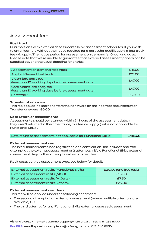### Assessment fees

#### **Fast track**

Qualifications with external assessments have assessment schedules. If you wish to enter learners without the notice required for a particular qualification, a fast track fee will apply. The notice period for assessment on demand is 10 working days. Please note that we're unable to guarantee that external assessment papers can be supplied beyond the usual deadline for entries.

| Assessment on demand fast track                                                 | £15,00 |
|---------------------------------------------------------------------------------|--------|
| <b>Applied General fast track</b>                                               | £15,00 |
| V Cert late entry fee<br>(less than 10 working days before assessment date)     | £47.00 |
| Core Maths late entry fee<br>(less than 10 working days before assessment date) | £47.00 |
| <b>Fast track</b>                                                               | £52.00 |

#### **Transfer of answers**

This fee applies if a learner enters their answers on the incorrect documentation. Transfer answers 80.00

#### **Late return of assessments**

Assessments should be returned within 24 hours of the assessment date. If they aren't returned in this time frame, this fee will apply (but is not applicable for Functional Skills).

| Late return of assessment (not applicable for Functional Skills) | £118.00 |
|------------------------------------------------------------------|---------|
|                                                                  |         |

#### **External assessment resit**

The initial learner (combined registration and certification) fee includes one free attempt at the external assessment or 2 attempts if it's a Functional Skills external assessment. Any further attempts will incur a resit fee.

Resit costs vary by assessment type, see below for details.

| External assessment resits (Functional Skills) | £20.00 (one free resit) |  |
|------------------------------------------------|-------------------------|--|
| External assessment resits (MCQ)               | £15.00                  |  |
| External assessment resits (V Certs)           | £7.50                   |  |
| <b>External assessment resits (Others)</b>     | £25.00                  |  |

#### **External assessment resit fees:**

This fee will be applied under the following conditions:

- The second attempt at an external assessment (where multiple attempts are available) OR
- The third attempt for any Functional Skills external assessed assessment.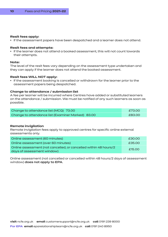#### **Resit fees apply:**

• If the assessment papers have been despatched and a learner does not attend.

#### **Resit fees and attempts:**

• If the learner does not attend a booked assessment, this will not count towards their attempts.

#### **Note:**

The level of the resit fees vary depending on the assessment type undertaken and they can apply if the learner does not attend the booked assessment.

#### **Resit fees WILL NOT apply:**

• If the assessment booking is cancelled or withdrawn for the learner prior to the assessment papers being despatched.

#### **Change to attendance / submission list**

A fee per learner will be incurred where Centres have added or substituted learners on the attendance / submission. We must be notified of any such learners as soon as possible.

| Change to attendance list (MCQ) 73.00             | £73.00 |
|---------------------------------------------------|--------|
| Change to attendance list (Examiner Marked) 83.00 | £83.00 |

#### **Remote invigilation**

Remote invigilation fees apply to approved centres for specific online external assessments only.

| Online assessment (60 minutes)                                                                  | £30.00 |
|-------------------------------------------------------------------------------------------------|--------|
| Online assessment (over 60 minutes)                                                             | £35.00 |
| Online assessment (not cancelled, or cancelled within 48 hours/2)<br>days of assessment window) | £15.00 |

Online assessment (not cancelled or cancelled within 48 hours/2 days of assessment window) **does not apply to EPA**.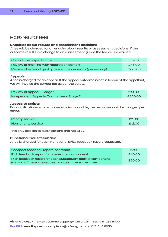### Post-results fees

#### **Enquiries about results and assessment decisions**

A fee will be charged for an enquiry about results or assessment decisions. If the outcome results in a change to an assessment grade the fee will be waived.

| Clerical check (per batch)                                   | £5.00   |
|--------------------------------------------------------------|---------|
| Review of marking with report (per learner)                  | £45.00  |
| Review of external quality assurance decisions (per enquiry) | £225.00 |

#### **Appeals**

A fee is charged for an appeal. If the appeal outcome is not in favour of the appellant, we will invoice the correct fee as per the below.

| Review of appeal - Stage 1              | £150.00 |
|-----------------------------------------|---------|
| Independent Appeals Committee - Stage 2 | £350.00 |

#### **Access to scripts**

For qualifications where this service is applicable, the below fees will be charged per script.

| <b>Priority service</b> | £15.00 |
|-------------------------|--------|
| Non-priority service    | £12.00 |

This only applies to qualifications and not EPA.

#### **Functional Skills feedback**

A fee is charged for each Functional Skills feedback report requested.

| Compact feedback report (per report)                       | £7.50  |  |
|------------------------------------------------------------|--------|--|
| Rich feedback report for one learner component             | £40.00 |  |
| Rich feedback report for each subsequent learner component | £20.00 |  |
| (as part of the same request, made at the same time)       |        |  |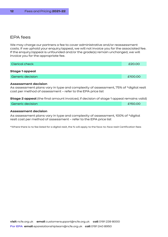### EPA fees

We may charge our partners a fee to cover administrative and/or reassessment costs. If we uphold your enquiry/appeal, we will not invoice you for the associated fee. If the enquiry/appeal is unfounded and/or the grade(s) remain unchanged, we will invoice you for the appropriate fee.

| Clerical check          | £20.00  |
|-------------------------|---------|
| <b>Stage 1 appeal</b>   |         |
| <b>Generic decision</b> | £100.00 |
|                         |         |

#### **Assessment decision**

As assessment plans vary in type and complexity of assessment, 75% of \*digital resit cost per method of assessment – refer to the EPA price list

**Stage 2 appeal** (the final amount invoiced, if decision of stage 1 appeal remains valid)

```
Generic decision E150.00 E150.00
```
#### **Assessment decision**

As assessment plans vary in type and complexity of assessment, 100% of \*digital resit cost per method of assessment – refer to the EPA price list

\*Where there is no fee listed for a digital resit, the % will apply to the face-to-face resit Certification fees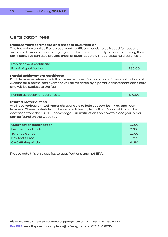# Certification fees

#### **Replacement certificate and proof of qualification**

The fee below applies if a replacement certificate needs to be issued for reasons such as a learner's name being registered with us incorrectly, or a learner losing their certificate. We can also provide proof of qualification without reissuing a certificate.

| Replacement certificate       | £35.00 |
|-------------------------------|--------|
| <b>Proof of qualification</b> | £35.00 |

#### **Partial achievement certificate**

Each learner receives one full achievement certificate as part of the registration cost. A claim for a partial achievement will be reflected by a partial achievement certificate and will be subject to the fee.

| Partial achievement certificate | £10.00 |
|---------------------------------|--------|
|                                 |        |

#### **Printed material fees**

We have various printed materials available to help support both you and your learners. These materials can be ordered directly from 'Print Shop' which can be accessed from the CACHE homepage. Full instructions on how to place your order can be found on the website..

| Qualification specification | £7.00 |
|-----------------------------|-------|
| Learner handbook            | £7.00 |
| Tutor guidance              | £7.00 |
| <b>Key facts Free</b>       | Free  |
| <b>CACHE</b> ring binder    | £1.50 |

Please note this only applies to qualifications and not EPA.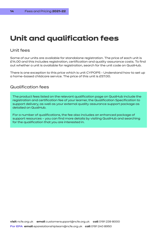# **Unit and qualification fees**

## Unit fees

Some of our units are available for standalone registration. The price of each unit is £14.00 and this includes registration, certification and quality assurance costs. To find out whether a unit is available for registration, search for the unit code on QualHub.

There is one exception to this price which is unit CYPOP5 - Understand how to set up a home-based childcare service. The price of this unit is £57.00.

### Qualification fees

The product fees listed on the relevant qualification page on QualHub include the registration and certification fee of your learner, the Qualification Specification to support delivery, as well as your external quality assurance support package as detailed on QualHub.

For a number of qualifications, the fee also includes an enhanced package of support resources – you can find more details by visiting QualHub and searching for the qualification that you are interested in.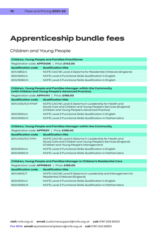# **Apprenticeship bundle fees**

# Children and Young People

| <b>Children, Young People and Families Practitioner</b> |                                                                |
|---------------------------------------------------------|----------------------------------------------------------------|
| Registration code: APP2406   Price: £143.00             |                                                                |
| <b>Qualification code</b>                               | <b>Qualification title</b>                                     |
| 601/4852/4                                              | NCFE CACHE Level 3 Diploma for Residential Childcare (England) |
| 603/5054/4                                              | NCFE Level 2 Functional Skills Qualification in English        |
| 603/5060/X                                              | NCFE Level 2 Functional Skills Qualification in English        |
|                                                         |                                                                |

#### **Children, Young People and Families Manager within the Community (with Children and Young People's Advanced Practice)**

Registration code: **APP4741** | Price: **£169.00**

| <b>Qualification code</b> | <b>Qualification title</b>                                                                                                                                                   |
|---------------------------|------------------------------------------------------------------------------------------------------------------------------------------------------------------------------|
| 601/4312/5/CYPAP          | NCFE CACHE Level 5 Diploma in Leadership for Health and<br>Social Care and Children and Young People's Services (England)<br>(Children and Young People's Advanced Practice) |
| 603/5054/4                | NCFE Level 2 Functional Skills Qualification in English                                                                                                                      |
| 603/5060/X                | NCFE Level 2 Functional Skills Qualification in Mathematics                                                                                                                  |

#### **Children, Young People and Families Manager within the Community**

Registration code: **APP5311** | Price: **£169.00**

| <b>Qualification code</b> | <b>Qualification title</b>                                                                                                                                            |
|---------------------------|-----------------------------------------------------------------------------------------------------------------------------------------------------------------------|
| 601/4312/5/CYPM           | NCFE CACHE Level 5 Diploma in Leadership for Health and<br>Social Care and Children and Young People's Services (England)<br>(Children and Young People's Management) |
| 603/5054/4                | NCFE Level 2 Functional Skills Qualification in English                                                                                                               |
| 603/5060/X                | NCFE Level 2 Functional Skills Qualification in Mathematics                                                                                                           |

**Children, Young People and Families Manager in Children's Residential Care**

| Registration code: APP8840   Price: £169.00 |                                                                                                |  |
|---------------------------------------------|------------------------------------------------------------------------------------------------|--|
| <b>Qualification code</b>                   | <b>Qualification title</b>                                                                     |  |
| 601/4845/7                                  | NCFE CACHE Level 5 Diploma in Leadership and Management for<br>Residential Childcare (England) |  |
| 603/5054/4                                  | NCFE Level 2 Functional Skills Qualification in English                                        |  |
| 603/5060/X                                  | NCFE Level 2 Functional Skills Qualification in Mathematics                                    |  |
|                                             |                                                                                                |  |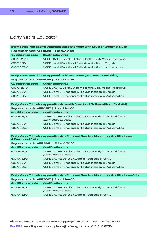# Early Years Educator

| Early Years Practitioner Apprenticeship Standard with Level 1 Functional Skills |                                                             |  |
|---------------------------------------------------------------------------------|-------------------------------------------------------------|--|
| Registration code: APP2690   Price: £121.00                                     |                                                             |  |
| <b>Qualification code</b>                                                       | <b>Qualification title</b>                                  |  |
| 603/3723/0                                                                      | NCFE CACHE Level 2 Diploma for the Early Years Practitioner |  |
| 603/5058/1                                                                      | NCFE Level 1 Functional Skills Qualification in English     |  |
| 603/5055/6                                                                      | NCFE Level 1 Functional Skills Qualification in Mathematics |  |
|                                                                                 |                                                             |  |

#### **Early Years Practitioner Apprenticeship Standard (with Functional Skills)**

| Registration code: APP6095   Price: £124.70 |                                                             |
|---------------------------------------------|-------------------------------------------------------------|
| <b>Qualification code</b>                   | <b>Qualification title</b>                                  |
| 603/3723/0                                  | NCFE CACHE Level 2 Diploma for the Early Years Practitioner |
| 603/5054/4                                  | NCFE Level 2 Functional Skills Qualification in English     |
| 603/5060/X                                  | NCFE Level 2 Functional Skills Qualification in Mathematics |

| Early Years Educator Apprenticeship (with Functional Skills) (without First Aid) |                                                                                    |  |
|----------------------------------------------------------------------------------|------------------------------------------------------------------------------------|--|
| Registration code: APP0957   Price: £144.00                                      |                                                                                    |  |
| <b>Qualification code</b>                                                        | <b>Qualification title</b>                                                         |  |
| 601/2629/2                                                                       | NCFE CACHE Level 3 Diploma for the Early Years Workforce<br>(Early Years Educator) |  |
| 603/5054/4                                                                       | NCFE Level 2 Functional Skills Qualification in English                            |  |
| 603/5060/X                                                                       | NCFE Level 2 Functional Skills Qualification in Mathematics                        |  |
|                                                                                  |                                                                                    |  |

#### **Early Years Educator Apprenticeship Standard Bundle – Mandatory Qualifications & Functional Skills**

| Registration code: APP9362   Price: £172.00 |                                                                                    |  |
|---------------------------------------------|------------------------------------------------------------------------------------|--|
| <b>Qualification code</b>                   | <b>Qualification title</b>                                                         |  |
| 601/2629/2                                  | NCFE CACHE Level 3 Diploma for the Early Years Workforce<br>(Early Years Educator) |  |
| 603/0752/3                                  | NCFE CACHE Level 3 Award in Paediatric First Aid                                   |  |
| 603/5054/4                                  | NCFE Level 2 Functional Skills Qualification in English                            |  |
| 603/5060/X                                  | NCFE Level 2 Functional Skills Qualification in Mathematics                        |  |
|                                             |                                                                                    |  |

#### **Early Years Educator Apprenticeship Standard Bundle – Mandatory Qualifications Only**

| Registration code: APP5687   Price: £144.00 |                                                                                    |  |
|---------------------------------------------|------------------------------------------------------------------------------------|--|
| <b>Qualification code</b>                   | <b>Qualification title</b>                                                         |  |
| 601/2629/2                                  | NCFE CACHE Level 3 Diploma for the Early Years Workforce<br>(Early Years Educator) |  |
| 603/0752/3                                  | NCFE CACHE Level 3 Award in Paediatric First Aid                                   |  |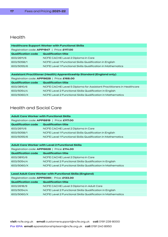# Health

| <b>Healthcare Support Worker with Functional Skills</b> |                                                             |  |
|---------------------------------------------------------|-------------------------------------------------------------|--|
| Registration code: APP1947   Price: £117.00             |                                                             |  |
| <b>Qualification code</b>                               | <b>Qualification title</b>                                  |  |
| 603/2611/6                                              | NCFE CACHE Level 2 Diploma in Care                          |  |
| 603/5058/1                                              | NCFE Level 1 Functional Skills Qualification in English     |  |
| 603/5055/6                                              | NCFE Level 1 Functional Skills Qualification in Mathematics |  |
|                                                         |                                                             |  |

| Assistant Practitioner (Health) Apprenticeship Standard (England only) |                                                                      |
|------------------------------------------------------------------------|----------------------------------------------------------------------|
| Registration code: APP9628   Price: £168.00                            |                                                                      |
| <b>Qualification code</b>                                              | <b>Qualification title</b>                                           |
| 603/3810/6                                                             | NCFE CACHE Level 5 Diploma for Assistant Practitioners in Healthcare |
| 603/5054/4                                                             | NCFE Level 2 Functional Skills Qualification in English              |
| 603/5060/X                                                             | NCFE Level 2 Functional Skills Qualification in Mathematics          |

# Health and Social Care

| <b>Adult Care Worker with Functional Skills</b> |                                                             |
|-------------------------------------------------|-------------------------------------------------------------|
| Registration code: APP8819   Price: £117.00     |                                                             |
| <b>Qualification code</b>                       | <b>Qualification title</b>                                  |
| 603/2611/6                                      | NCFE CACHE Level 2 Diploma in Care                          |
| 603/5058/1                                      | NCFE Level 1 Functional Skills Qualification in English     |
| 603/5055/6                                      | NCFE Level 1 Functional Skills Qualification in Mathematics |
|                                                 |                                                             |

| <b>Adult Care Worker with Level 2 Functional Skills</b> |                                                             |  |
|---------------------------------------------------------|-------------------------------------------------------------|--|
| Registration code: APP6628   Price: £114.00             |                                                             |  |
| <b>Qualification code</b>                               | <b>Qualification title</b>                                  |  |
| 603/3810/6                                              | NCFE CACHE Level 2 Diploma in Care                          |  |
| 603/5054/4                                              | NCFE Level 2 Functional Skills Qualification in English     |  |
| 603/5060/X                                              | NCFE Level 2 Functional Skills Qualification in Mathematics |  |
|                                                         |                                                             |  |

| <b>Lead Adult Care Worker with Functional Skills (England)</b> |                                                             |  |
|----------------------------------------------------------------|-------------------------------------------------------------|--|
| Registration code: APP5099   Price: £133.00                    |                                                             |  |
| <b>Qualification code</b>                                      | <b>Qualification title</b>                                  |  |
| 603/2618/9                                                     | NCFE CACHE Level 3 Diploma in Adult Care                    |  |
| 603/5054/4                                                     | NCFE Level 2 Functional Skills Qualification in English     |  |
| 603/5060/X                                                     | NCFE Level 2 Functional Skills Qualification in Mathematics |  |
|                                                                |                                                             |  |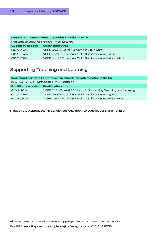| <b>Lead Practitioner in Adult Care with Functional Skills</b> |                                                             |  |
|---------------------------------------------------------------|-------------------------------------------------------------|--|
| Registration code: APP6737   Price: £147.60                   |                                                             |  |
| <b>Qualification code</b>                                     | <b>Qualification title</b>                                  |  |
| 603/2614/1                                                    | NCFE CACHE Level 4 Diploma in Adult Care                    |  |
| 603/5054/4                                                    | NCFE Level 2 Functional Skills Qualification in English     |  |
| 603/5060/X                                                    | NCFE Level 2 Functional Skills Qualification in Mathematics |  |
|                                                               |                                                             |  |

# Supporting Teaching and Learning

| <b>Teaching Assistant Apprenticeship Standard (with Functional Skills)</b> |  |  |
|----------------------------------------------------------------------------|--|--|
| Registration code: APP0605   Price: £153.00                                |  |  |
| <b>Qualification title</b>                                                 |  |  |
| NCFE CACHE Level 3 Diploma in Supporting Teaching and Learning             |  |  |
| NCFE Level 2 Functional Skills Qualification in English                    |  |  |
| NCFE Level 2 Functional Skills Qualification in Mathematics                |  |  |
|                                                                            |  |  |

Please note Apprenticeship bundle fees only apply to qualifications and not EPA.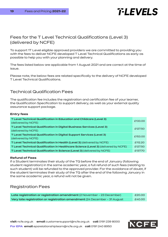# *T-LEVELS*

# Fees for the T Level Technical Qualifications (Level 3) (delivered by NCFE)

To support 1T Level eligible approved providers we are committed to providing you with the fees to deliver NCFE developed T Level Technical Qualifications as early as possible to help you with your planning and delivery.

The fees listed below are applicable from 1 August 2021 and are correct at the time of issue.

Please note, the below fees are related specifically to the delivery of NCFE developed T Level Technical Qualifications.

# Technical Qualification Fees

The qualification fee includes the registration and certification fee of your learner, the Qualification Specification to support delivery, as well as your external quality assurance support package.

#### **Entry fees**

| T Level Technical Qualification in Education and Childcare (Level 3)<br>(delivered by NCFE)   | £133.00 |
|-----------------------------------------------------------------------------------------------|---------|
| T Level Technical Qualification in Digital Business Services (Level 3)<br>(delivered by NCFE) | £127.50 |
| T Level Technical Qualification in Digital Support Services (Level 3)<br>(delivered by NCFE)  | £153.00 |
| T Level Technical Qualification in Health (Level 3) (delivered by NCFE)                       | £112.20 |
| T Level Technical Qualification in Healthcare Science (Level 3) (delivered by NCFE)           | £127.50 |
| T Level Technical Qualification in Science (Level 3) (delivered by NCFE)                      | £137.70 |

#### **Refund of Fees**

If a Student terminates their study of the TQ before the end of January (following student registration) in the same academic year, a full refund of such fees (relating to such student) will be refunded to the approved provider. For the avoidance of doubt, if the student terminates their study of the TQ after the end of the following January in the same academic year, a refund will not be given.

# Registration Fees

**Late registration or registration amendment** (2 November - 23 December) £20.00 **Very late registration or registration amendment** (24 December - 31 August £40.00

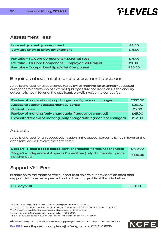# *T-LEVELS*

### Assessment Fees

| Late entry or entry amendment      | £8.00  |
|------------------------------------|--------|
| Very late entry or entry amendment | £16.00 |
|                                    |        |

| Re-take - TQ Core Component - External Test        | £16.00 |
|----------------------------------------------------|--------|
| Re-take - TQ Core Component - Employer Set Project | £16.00 |
| <b>Re-take - Occupational Specialist Component</b> | £30.00 |

### Enquiries about results and assessment decisions

A fee is charged for a result enquiry, review of marking for externally assessed components and review of external quality assurance decisions. If the enquiry outcome is not in favor of the applicant, we will invoice the correct fee.

| Review of moderation (only chargeable if grade not changed)        |        |
|--------------------------------------------------------------------|--------|
| Access to student assessment evidence                              | £25.00 |
| <b>Clerical check</b>                                              | £5.00  |
| Review of marking (only chargeable if grade not charged)           | £45.00 |
| Expedited review of marking (only chargeable if grade not changed) | £52.00 |

# Appeals

A fee is charged for an appeal submission. If the appeal outcome is not in favor of the appellant, we will invoice the correct fee.

| <b>Stage 1 - Paper based appeal</b> (only chargeable if grade not changed)                | £100.00 |
|-------------------------------------------------------------------------------------------|---------|
| <b>Stage 2 - Independent Appeals Committee (only chargeable if grade)</b><br>not changed) | £300.00 |

# Support Visit Fees

In addition to the range of free support available to our providers an additional support visit may be requested and will be chargeable at the rate below.

**Full day visit** £650.00

T-LEVELS' is a registered trade mark of the Department for Education.

'1T Level' is a registered trade mark of the Institute for Apprenticeships and Technical Education.

The T Level is a qualification approved and managed by the Institute.

All the material in this publication is copyright NCFE 2021.

T Level document section owner: Operations Director for Technical Education.

**visit** ncfe.org.uk **email** customersupport@ncfe.org.uk **call** 0191 239 8000

INCF

**For EPA email** eparelationshipteam@ncfe.org.uk **call** 0191 240 8950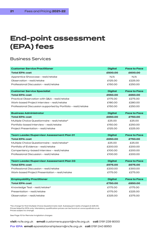# **End-point assessment (EPA) fees**

# Business Services

| <b>Customer Service Practitioner</b>                          | <b>Digital</b> | <b>Face to Face</b> |
|---------------------------------------------------------------|----------------|---------------------|
| <b>Total EPA cost</b>                                         | £500.00        | £600.00             |
| Apprentice Showcase – resit/retake                            | N/A            | N/A                 |
| Observation - resit/retake                                    | £125.00        | £225.00             |
| Professional Discussion – resit/retake                        | £150.00        | £250.00             |
| <b>Customer Service Specialist</b>                            | <b>Digital</b> | <b>Face to Face</b> |
| <b>Total EPA cost</b>                                         | £550.00        | £650.00             |
| Practical Observation with Q&A - resit/retake                 | £175.00        | £275.00             |
| Work-based Project Interview - resit/retake                   | £180.00        | £280.00             |
| Professional Discussion supported by Portfolio - resit/retake | £150.00        | £250.00             |
| <b>Business Administrator</b>                                 | <b>Digital</b> | <b>Face to Face</b> |
| <b>Total EPA cost</b>                                         | £650.00        | £750.00             |
| Multiple Choice Questionnaire - resit/retake*                 | £25.00         | £25.00              |
| Portfolio-based Interview - resit/retake                      | £150.00        | £250.00             |
| Project Presentation - resit/retake                           | £125.00        | £225.00             |
| <b>Team Leader/Supervisor Assessment Plan 01</b>              | <b>Digital</b> | <b>Face to Face</b> |
| <b>Total EPA cost</b>                                         | £650.00        | £750.00             |
| Multiple Choice Questionnaire - resit/retake*                 | £25.00         | £25.00              |
| Portfolio of Evidence - resit/retake                          | £200.00        | £200.00             |
| Compentency-based Interview - resit/retake                    | £100.00        | £200.00             |
|                                                               |                |                     |
| Professional Discussion – resit/retake                        | £100.00        | £200.00             |
| <b>Team Leader/Supervisor Assessment Plan 03</b>              | <b>Digital</b> | <b>Face to Face</b> |
| <b>Total EPA cost</b>                                         | £575.00        | £675.00             |
| Professional Discussion - resit/retake                        | £200.00        | £300.00             |
| Work-based Project Presentation – resit/retake                | £175.00        | £275.00             |
| <b>Employability Practitioner</b>                             | <b>Digital</b> | <b>Face to Face</b> |
| <b>Total EPA cost</b>                                         | £750.00        | £850.00             |
| Knowledge Test - resit/retake*                                | £175.00        | £175.00             |
| Presentation - resit/retake                                   | £175.00        | £225.00             |

\*No charge for first Multiple Choice Questionnaire resit. Subsequent resits charged at £25.00. Prices listed for EPA only. Mandatory qualification prices can be found on www.qualhub.co.uk. Prices subject to change.

See Page 10 for Remote Invigilation charges

**visit** ncfe.org.uk **email** customersupport@ncfe.org.uk **call** 0191 239 8000 **For EPA email** eparelationshipteam@ncfe.org.uk **call** 0191 240 8950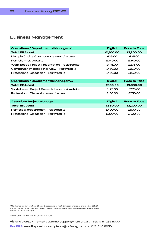# Business Management

| <b>Operations / Departmental Manager v1</b>    | <b>Digital</b> | <b>Face to Face</b> |
|------------------------------------------------|----------------|---------------------|
| <b>Total EPA cost</b>                          | £1,100.00      | £1,200.00           |
| Multiple Choice Questionnaire – resit/retake*  | £25.00         | £25.00              |
| Portfolio – resit/retake                       | £340.00        | £340.00             |
| Work-based Project Presentation - resit/retake | £175.00        | £275.00             |
| Compentency-based Interview – resit/retake     | £150.00        | £250.00             |
| Professional Discussion - resit/retake         | £150.00        | £250.00             |
|                                                |                |                     |
| <b>Operations / Departmental Manager v4</b>    | <b>Digital</b> | <b>Face to Face</b> |
| <b>Total EPA cost</b>                          | £950.00        | £1,050.00           |
| Work-based Project Presentation – resit/retake | £175.00        | £275.00             |
| Professional Discussion – resit/retake         | £150.00        | £250.00             |
|                                                |                |                     |
| <b>Associate Project Manager</b>               | <b>Digital</b> | <b>Face to Face</b> |
| <b>Total EPA cost</b>                          | £850.00        | £1,200.00           |
| Portfolio & presentation – resit/retake        | £400.00        | £500.00             |
| Professional Discussion – resit/retake         | £300.00        | £400.00             |

\*No charge for first Multiple Choice Questionnaire resit. Subsequent resits charged at £25.00. Prices listed for EPA only. Mandatory qualification prices can be found on www.qualhub.co.uk. Prices subject to change.

See Page 10 for Remote Invigilation charges

**visit** ncfe.org.uk **email** customersupport@ncfe.org.uk **call** 0191 239 8000 **For EPA email** eparelationshipteam@ncfe.org.uk **call** 0191 240 8950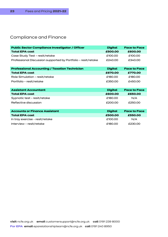# Compliance and Finance

| <b>Public Sector Compliance Investigator / Officer</b>        | <b>Digital</b> | <b>Face to Face</b> |
|---------------------------------------------------------------|----------------|---------------------|
| <b>Total EPA cost</b>                                         | £500.00        | £600.00             |
| Case Study Test - resit/retake                                | £100.00        | £100.00             |
| Professional Discussion supported by Portfolio – resit/retake | £240.00        | £340.00             |
| <b>Professional Accounting / Taxation Technician</b>          | <b>Digital</b> | <b>Face to Face</b> |
| <b>Total EPA cost</b>                                         | £670.00        | £770.00             |
| Role Simulation - resit/retake                                | £180.00        | £180.00             |
| Portfolio - resit/retake                                      | £350.00        | £450.00             |
|                                                               |                |                     |
| <b>Assistant Accountant</b>                                   | <b>Digital</b> | <b>Face to Face</b> |
| <b>Total EPA cost</b>                                         | £600.00        | £650.00             |
| Sypnotic test - resit/retake                                  | £180.00        | N/A                 |
| Reflective discussion                                         | £200.00        | £250.00             |
|                                                               |                |                     |
| <b>Accounts or Finance Assistant</b>                          | <b>Digital</b> | <b>Face to Face</b> |
| <b>Total EPA cost</b>                                         | £500.00        | £550.00             |
| In tray exercise - resit/retake                               | £100.00        | N/A                 |
| Interview – resit/retake                                      | £180.00        | £230.00             |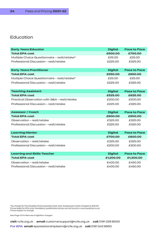# Education

| <b>Early Years Educator</b>                   | <b>Digital</b> | <b>Face to Face</b> |
|-----------------------------------------------|----------------|---------------------|
| <b>Total EPA cost</b>                         | £600.00        | £700.00             |
| Multiple Choice Questionnaire - resit/retake* | £25.00         | £25.00              |
| Professional Discussion - resit/retake        | £225.00        | £325.00             |
|                                               |                |                     |
| <b>Early Years Practitioner</b>               | <b>Digital</b> | <b>Face to Face</b> |
| <b>Total EPA cost</b>                         | £550.00        | £650.00             |
| Multiple Choice Questionnaire - resit/retake* | £25.00         | £25.00              |
| Professional Discussion - resit/retake        | £225.00        | £325.00             |
|                                               |                |                     |
| <b>Teaching Assistant</b>                     | <b>Digital</b> | <b>Face to Face</b> |
| <b>Total EPA cost</b>                         | £525.00        | £625.00             |
| Practical Observation with Q&A - resit/retake | £200.00        | £200.00             |
| Professional Discussion - resit/retake        | £225.00        | £325.00             |
|                                               |                |                     |
| <b>Assessor / Coach</b>                       | <b>Digital</b> | <b>Face to Face</b> |
| <b>Total EPA cost</b>                         | £800.00        | £900.00             |
| Observation - resit/retake                    | £325.00        | £325.00             |
| Professional Discussion - resit/retake        | £225.00        | £325.00             |
|                                               |                |                     |
| <b>Learning Mentor</b>                        | <b>Digital</b> | <b>Face to Face</b> |
| <b>Total EPA cost</b>                         | £700.00        | £800.00             |
| Observation - resit/retake                    | £325.00        | £325.00             |
| Professional Discussion - resit/retake        | £200.00        | £300.00             |
|                                               |                |                     |
| <b>Learning and Skills Teacher</b>            | <b>Digital</b> | <b>Face to Face</b> |
| <b>Total EPA cost</b>                         | £1,200.00      | £1,300.00           |
| Observation - resit/retake                    | £400.00        | £450.00             |
| Professional Discussion - resit/retake        | £400.00        | £450.00             |

\*No charge for first Multiple Choice Questionnaire resit. Subsequent resits charged at £25.00. Prices listed for EPA only. Mandatory qualification prices can be found on www.qualhub.co.uk. Prices subject to change.

See Page 10 for Remote Invigilation charges

**visit** ncfe.org.uk **email** customersupport@ncfe.org.uk **call** 0191 239 8000 **For EPA email** eparelationshipteam@ncfe.org.uk **call** 0191 240 8950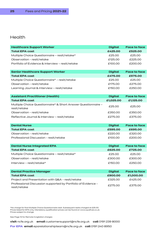# Health

| <b>Healthcare Support Worker</b>                                             | <b>Digital</b> | <b>Face to face</b> |
|------------------------------------------------------------------------------|----------------|---------------------|
| <b>Total EPA cost</b>                                                        | £425.00        | £525.00             |
| Multiple Choice Questionnaire - resit/retake*                                | £25.00         | £25.00              |
| Observation - resit/retake                                                   | £125.00        | £225.00             |
| Portfolio of Evidence & Interview - resit/retake                             | £100.00        | £200.00             |
| <b>Senior Healthcare Support Worker</b>                                      | <b>Digital</b> | <b>Face to face</b> |
| <b>Total EPA cost</b>                                                        | £475.00        | £575.00             |
| Multiple Choice Questionnaire* - resit/retake                                | £25.00         | £25.00              |
| Observation - resit/retake                                                   | £175.00        | £275.00             |
| Learning Journal & Interview - resit/retake                                  | £150.00        | £250.00             |
| <b>Assistant Practitioner (Health)</b>                                       | <b>Digital</b> | <b>Face to face</b> |
| <b>Total EPA cost</b>                                                        | £1,025.00      | £1,125.00           |
| Multiple Choice Questionnaire* & Short Answer Questionnaire -                | £25.00         | £25.00              |
| resit/retake                                                                 |                |                     |
| Observation - resit/retake                                                   | £350.00        | £350.00             |
| Reflective Journal & Interview - resit/retake                                | £275.00        | £375.00             |
| <b>Dental Nurse</b>                                                          | <b>Digital</b> | <b>Face to face</b> |
| <b>Total EPA cost</b>                                                        | £595.00        | £695.00             |
| Observation - resit/retake                                                   | £220.00        | £320.00             |
| Professional Discussion - resit/retake                                       | £100.00        | £200.00             |
| <b>Dental Nurse Integrated EPA</b>                                           | <b>Digital</b> | <b>Face to face</b> |
| <b>Total EPA cost</b>                                                        | £625.00        | £725.00             |
| Multiple Choice Questionnaire - resit/retake*                                | £25.00         | £25.00              |
| Observation - resit/retake                                                   | £300.00        | £300.00             |
| Interview - resit/retake*                                                    | £150.00        | £250.00             |
|                                                                              |                |                     |
| <b>Dental Practice Manager</b>                                               | <b>Digital</b> | <b>Face to face</b> |
| <b>Total EPA cost</b>                                                        | £900.00        | £1,000.00           |
| Project and Presentation with Q&A - resit/retake                             | £325.00        | £425.00             |
| Professional Discussion supported by Portfolio of Evidence -<br>resit/retake | £275.00        | £375.00             |

\*No charge for first Multiple Choice Questionnaire resit. Subsequent resits charged at £25.00. Prices listed for EPA only. Mandatory qualification prices can be found on www.qualhub.co.uk. Prices subject to change.

See Page 10 for Remote Invigilation charges

**visit** ncfe.org.uk **email** customersupport@ncfe.org.uk **call** 0191 239 8000

**For EPA email** eparelationshipteam@ncfe.org.uk **call** 0191 240 8950